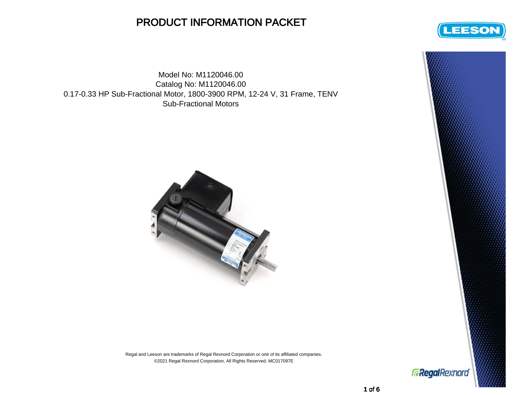## PRODUCT INFORMATION PACKET

Model No: M1120046.00 Catalog No: M1120046.00 0.17-0.33 HP Sub-Fractional Motor, 1800-3900 RPM, 12-24 V, 31 Frame, TENV Sub-Fractional Motors



Regal and Leeson are trademarks of Regal Rexnord Corporation or one of its affiliated companies. ©2021 Regal Rexnord Corporation, All Rights Reserved. MC017097E



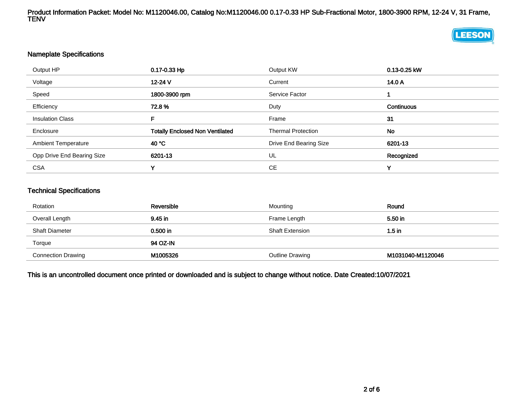Product Information Packet: Model No: M1120046.00, Catalog No:M1120046.00 0.17-0.33 HP Sub-Fractional Motor, 1800-3900 RPM, 12-24 V, 31 Frame, TENV

## **LEESON**

## Nameplate Specifications

| Output HP                  | 0.17-0.33 Hp                           | Output KW                 | 0.13-0.25 kW |  |
|----------------------------|----------------------------------------|---------------------------|--------------|--|
| Voltage                    | 12-24 V                                | Current                   | 14.0 A       |  |
| Speed                      | 1800-3900 rpm                          | Service Factor            |              |  |
| Efficiency                 | 72.8%                                  | Duty                      | Continuous   |  |
| <b>Insulation Class</b>    | F.                                     | Frame                     | 31           |  |
| Enclosure                  | <b>Totally Enclosed Non Ventilated</b> | <b>Thermal Protection</b> | No           |  |
| <b>Ambient Temperature</b> | 40 °C                                  | Drive End Bearing Size    | 6201-13      |  |
| Opp Drive End Bearing Size | 6201-13                                | UL                        | Recognized   |  |
| <b>CSA</b>                 | v                                      | СE                        | v            |  |

## Technical Specifications

| Rotation                  | Reversible | Mounting               | Round             |  |
|---------------------------|------------|------------------------|-------------------|--|
| Overall Length            | 9.45 in    | Frame Length           | 5.50 in           |  |
| <b>Shaft Diameter</b>     | $0.500$ in | <b>Shaft Extension</b> | $1.5$ in          |  |
| Torque                    | 94 OZ-IN   |                        |                   |  |
| <b>Connection Drawing</b> | M1005326   | Outline Drawing        | M1031040-M1120046 |  |

This is an uncontrolled document once printed or downloaded and is subject to change without notice. Date Created:10/07/2021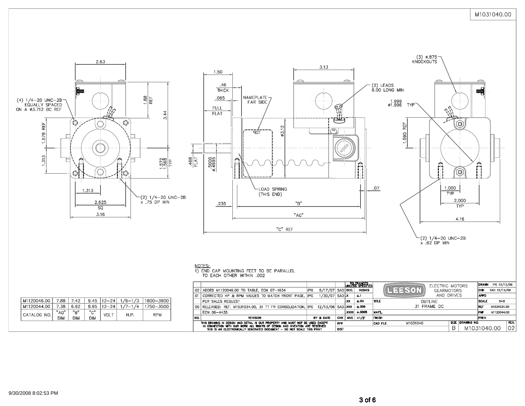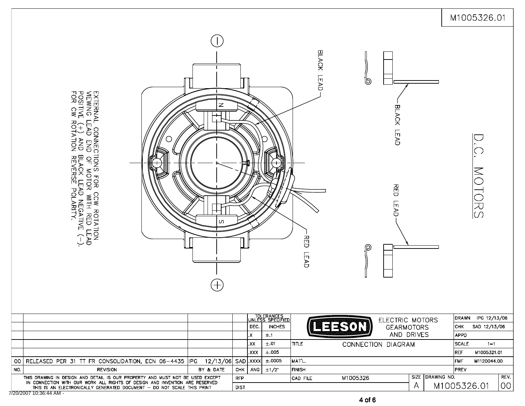|                                                                                                                                                                                                                                                                                                                                     |                                                                                                                                                                    |                   |            |           |                                |                                         |                                                                  | M1005326.01                     |
|-------------------------------------------------------------------------------------------------------------------------------------------------------------------------------------------------------------------------------------------------------------------------------------------------------------------------------------|--------------------------------------------------------------------------------------------------------------------------------------------------------------------|-------------------|------------|-----------|--------------------------------|-----------------------------------------|------------------------------------------------------------------|---------------------------------|
|                                                                                                                                                                                                                                                                                                                                     | EXTERNAL CONNECTIONS FOR CCW ROTATION<br>VEWING LEAD END OF MOTOR WITH RED LEAD<br>POSITIVE (+) AND BLACK LEAD NEGATIVE (--).<br>FOR CW ROTATION REVERSE POLARITY. | z<br>S<br>土       |            |           | TOLERANCES<br>UNLESS SPECIFIED | BLACK LEAD<br><b>RED</b><br><b>LEAD</b> | ಄<br>BLACK LEAD<br>R<br>C<br>U<br><b>LEAD</b><br>P               | MOTORS<br>IPG 12/13/06<br>DRAWN |
|                                                                                                                                                                                                                                                                                                                                     |                                                                                                                                                                    |                   |            | DEC.      | <b>INCHES</b>                  |                                         | ELECTRIC MOTORS<br><b>ILERED AT ALCOHOL</b><br><b>GEARMOTORS</b> | снк<br>SAD 12/13/06             |
|                                                                                                                                                                                                                                                                                                                                     |                                                                                                                                                                    |                   |            | X.<br>.xx | ±.1<br>±.01                    | <b>TITLE</b>                            | AND DRIVES<br>CONNECTION DIAGRAM                                 | <b>APPD</b><br>SCALE<br>$1 = 1$ |
|                                                                                                                                                                                                                                                                                                                                     |                                                                                                                                                                    |                   |            | XXX.      | $\pm.005$                      |                                         |                                                                  | REF<br>M1005321.01              |
|                                                                                                                                                                                                                                                                                                                                     | 00 RELEASED PER 31 TT FR CONSOLIDATION, ECN 06-4435 IPG                                                                                                            | 12/13/06 SAD XXXX |            |           | ±.0005                         | MAT'L.                                  |                                                                  | lfmf.<br>M1120044.00            |
| NO.                                                                                                                                                                                                                                                                                                                                 | <b>REVISION</b>                                                                                                                                                    | BY & DATE         | <b>CHK</b> | ANG       | $±1/2$ <sup>*</sup>            | <b>FINISH</b>                           |                                                                  | PREV                            |
| SIZE DRAWING NO.<br>THIS DRAWING IN DESIGN AND DETAIL IS OUR PROPERTY AND MUST NOT BE USED EXCEPT<br>M1005326<br><b>RFP</b><br>CAD FILE<br>IN CONNECTION WITH OUR WORK ALL RIGHTS OF DESIGN AND INVENTION ARE RESERVED<br>A<br>M1005326.01<br><b>DIST</b><br>THIS IS AN ELECTRONICALLY GENERATED DOCUMENT - DO NOT SCALE THIS PRINT |                                                                                                                                                                    |                   |            |           |                                |                                         |                                                                  | REV.<br>00                      |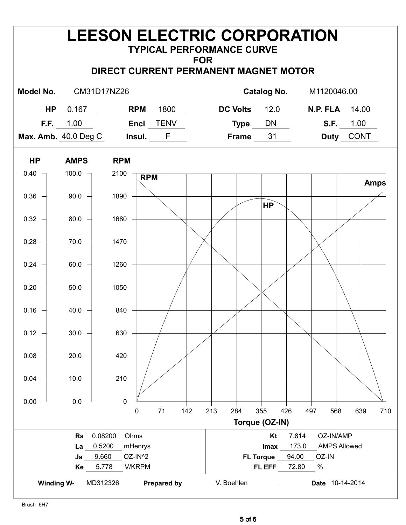